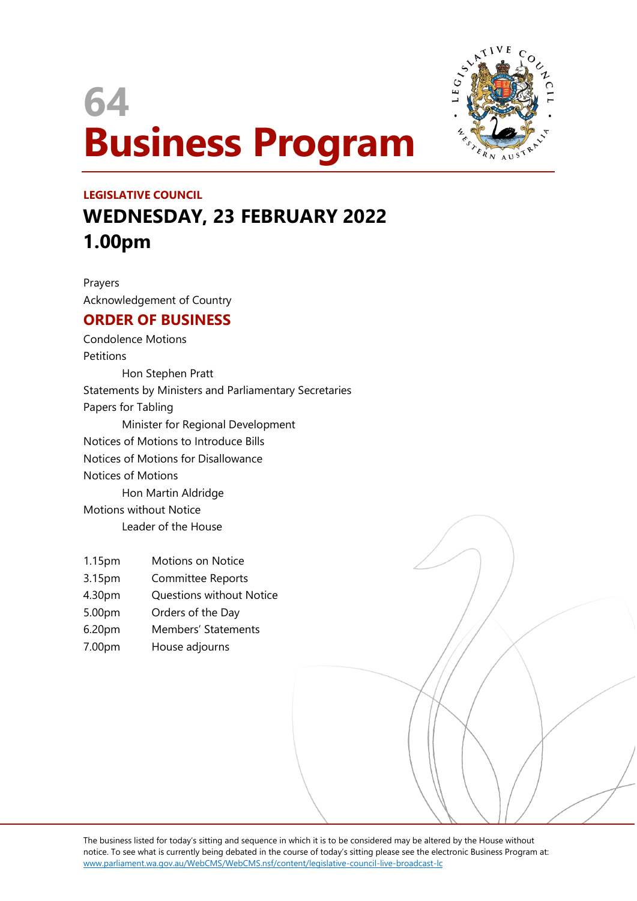# **64 Business Program**



## **LEGISLATIVE COUNCIL WEDNESDAY, 23 FEBRUARY 2022 1.00pm**

Prayers Acknowledgement of Country

### **ORDER OF BUSINESS**

Condolence Motions **Petitions** Hon Stephen Pratt Statements by Ministers and Parliamentary Secretaries Papers for Tabling Minister for Regional Development Notices of Motions to Introduce Bills Notices of Motions for Disallowance Notices of Motions Hon Martin Aldridge Motions without Notice Leader of the House

- 1.15pm Motions on Notice
- 3.15pm Committee Reports
- 4.30pm Questions without Notice
- 5.00pm Orders of the Day
- 6.20pm Members' Statements
- 7.00pm House adjourns

The business listed for today's sitting and sequence in which it is to be considered may be altered by the House without notice. To see what is currently being debated in the course of today's sitting please see the electronic Business Program at: www.parliament.wa.gov.au/WebCMS/WebCMS.nsf/content/legislative-council-live-broadcast-lc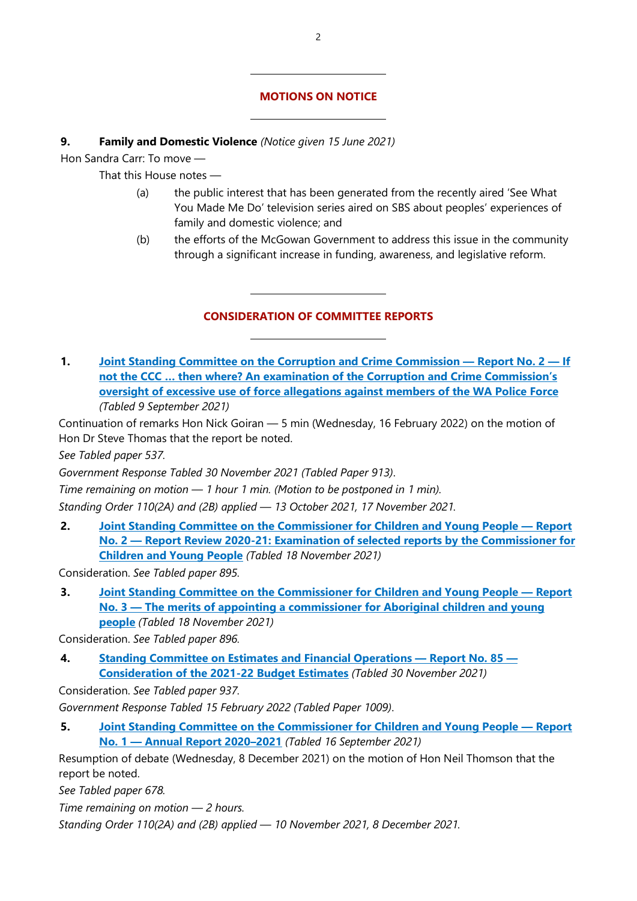#### **MOTIONS ON NOTICE**

#### **9. Family and Domestic Violence** *(Notice given 15 June 2021)*

 $\overline{a}$ 

 $\overline{a}$ 

 $\overline{a}$ 

 $\overline{a}$ 

Hon Sandra Carr: To move —

That this House notes —

- (a) the public interest that has been generated from the recently aired 'See What You Made Me Do' television series aired on SBS about peoples' experiences of family and domestic violence; and
- (b) the efforts of the McGowan Government to address this issue in the community through a significant increase in funding, awareness, and legislative reform.

#### **CONSIDERATION OF COMMITTEE REPORTS**

**1. [Joint Standing Committee on the Corruption and Crime Commission](https://www.parliament.wa.gov.au/Parliament/commit.nsf/(Report+Lookup+by+Com+ID)/FDA26B0C31AFEC394825874A00166C49/$file/Report%202%20-%20If%20not%20the%20CCC%20...%20then%20where_%20Final%20document.pdf) — Report No. 2 — If [not the CCC … then where? An examination of the Corruption and Crime Commission's](https://www.parliament.wa.gov.au/Parliament/commit.nsf/(Report+Lookup+by+Com+ID)/FDA26B0C31AFEC394825874A00166C49/$file/Report%202%20-%20If%20not%20the%20CCC%20...%20then%20where_%20Final%20document.pdf)  [oversight of excessive use of force allegations against members of the WA Police Force](https://www.parliament.wa.gov.au/Parliament/commit.nsf/(Report+Lookup+by+Com+ID)/FDA26B0C31AFEC394825874A00166C49/$file/Report%202%20-%20If%20not%20the%20CCC%20...%20then%20where_%20Final%20document.pdf)** *(Tabled 9 September 2021)*

Continuation of remarks Hon Nick Goiran — 5 min (Wednesday, 16 February 2022) on the motion of Hon Dr Steve Thomas that the report be noted.

*See Tabled paper 537.*

*Government Response Tabled 30 November 2021 (Tabled Paper 913)*.

*Time remaining on motion — 1 hour 1 min. (Motion to be postponed in 1 min).*

*Standing Order 110(2A) and (2B) applied — 13 October 2021, 17 November 2021.*

**2. [Joint Standing Committee on the Commissioner for Children and Young People](https://www.parliament.wa.gov.au/Parliament/commit.nsf/(Report+Lookup+by+Com+ID)/E50F8E8D1EE3B8E24825879000284045/$file/39119405.PDF) — Report No. 2 — [Report Review 2020-21: Examination of selected reports by the Commissioner for](https://www.parliament.wa.gov.au/Parliament/commit.nsf/(Report+Lookup+by+Com+ID)/E50F8E8D1EE3B8E24825879000284045/$file/39119405.PDF)  [Children and Young People](https://www.parliament.wa.gov.au/Parliament/commit.nsf/(Report+Lookup+by+Com+ID)/E50F8E8D1EE3B8E24825879000284045/$file/39119405.PDF)** *(Tabled 18 November 2021)*

Consideration. *See Tabled paper 895.*

**3. [Joint Standing Committee on the Commissioner for Children and Young People](https://www.parliament.wa.gov.au/Parliament/commit.nsf/(Report+Lookup+by+Com+ID)/9880D7454F4CE9374825879000285D0F/$file/39902060.pdf) — Report No. 3 — [The merits of appointing a commissioner for Aboriginal children and young](https://www.parliament.wa.gov.au/Parliament/commit.nsf/(Report+Lookup+by+Com+ID)/9880D7454F4CE9374825879000285D0F/$file/39902060.pdf)  [people](https://www.parliament.wa.gov.au/Parliament/commit.nsf/(Report+Lookup+by+Com+ID)/9880D7454F4CE9374825879000285D0F/$file/39902060.pdf)** *(Tabled 18 November 2021)*

Consideration. *See Tabled paper 896.*

**4. [Standing Committee on Estimates and Financial Operations](http://intranet/parliament/commit.nsf/(Report+Lookup+by+Com+ID)/B80496BE545D6FDB4825879C0010464B/$file/ef.ehw22.211130.rpf.085.xx.web.pdf) — Report No. 85 — [Consideration of the 2021-22 Budget Estimates](http://intranet/parliament/commit.nsf/(Report+Lookup+by+Com+ID)/B80496BE545D6FDB4825879C0010464B/$file/ef.ehw22.211130.rpf.085.xx.web.pdf)** *(Tabled 30 November 2021)*

Consideration. *See Tabled paper 937.*

*Government Response Tabled 15 February 2022 (Tabled Paper 1009)*.

**5. [Joint Standing Committee on the Commissioner for Children and Young People](https://www.parliament.wa.gov.au/Parliament/commit.nsf/(Report+Lookup+by+Com+ID)/8D30EF84A4C3463E48258752000A9E2F/$file/2020-21%20AR%20JSCCCYP%20final%20-.pdf) — Report No. 1 — [Annual Report 2020–2021](https://www.parliament.wa.gov.au/Parliament/commit.nsf/(Report+Lookup+by+Com+ID)/8D30EF84A4C3463E48258752000A9E2F/$file/2020-21%20AR%20JSCCCYP%20final%20-.pdf)** *(Tabled 16 September 2021)*

Resumption of debate (Wednesday, 8 December 2021) on the motion of Hon Neil Thomson that the report be noted.

*See Tabled paper 678.*

*Time remaining on motion — 2 hours.* 

*Standing Order 110(2A) and (2B) applied — 10 November 2021, 8 December 2021.*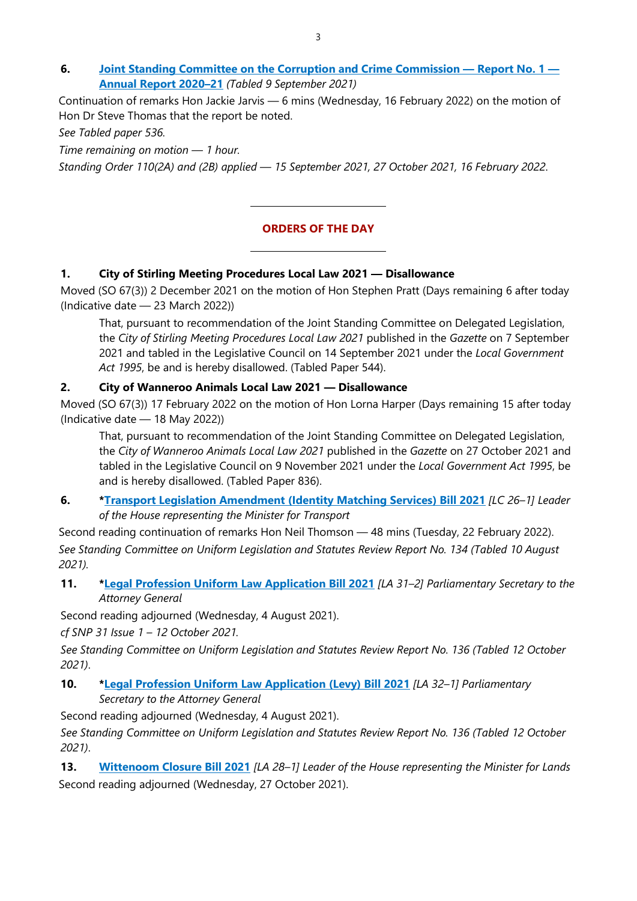**6. [Joint Standing Committee on the Corruption and Crime Commission](https://www.parliament.wa.gov.au/Parliament/commit.nsf/(Report+Lookup+by+Com+ID)/E909AD99A8A975794825874A0016281B/$file/Annual%20Report%202020-2021%20Final.pdf) — Report No. 1 — [Annual Report 2020–21](https://www.parliament.wa.gov.au/Parliament/commit.nsf/(Report+Lookup+by+Com+ID)/E909AD99A8A975794825874A0016281B/$file/Annual%20Report%202020-2021%20Final.pdf)** *(Tabled 9 September 2021)*

Continuation of remarks Hon Jackie Jarvis — 6 mins (Wednesday, 16 February 2022) on the motion of Hon Dr Steve Thomas that the report be noted.

*See Tabled paper 536.*

*Time remaining on motion — 1 hour.* 

*Standing Order 110(2A) and (2B) applied — 15 September 2021, 27 October 2021, 16 February 2022*.

#### **ORDERS OF THE DAY**

#### **1. City of Stirling Meeting Procedures Local Law 2021 — Disallowance**

 $\overline{a}$ 

 $\overline{a}$ 

Moved (SO 67(3)) 2 December 2021 on the motion of Hon Stephen Pratt (Days remaining 6 after today (Indicative date — 23 March 2022))

That, pursuant to recommendation of the Joint Standing Committee on Delegated Legislation, the *City of Stirling Meeting Procedures Local Law 2021* published in the *Gazette* on 7 September 2021 and tabled in the Legislative Council on 14 September 2021 under the *Local Government Act 1995*, be and is hereby disallowed. (Tabled Paper 544).

#### **2. City of Wanneroo Animals Local Law 2021 — Disallowance**

Moved (SO 67(3)) 17 February 2022 on the motion of Hon Lorna Harper (Days remaining 15 after today (Indicative date — 18 May 2022))

That, pursuant to recommendation of the Joint Standing Committee on Delegated Legislation, the *City of Wanneroo Animals Local Law 2021* published in the *Gazette* on 27 October 2021 and tabled in the Legislative Council on 9 November 2021 under the *Local Government Act 1995*, be and is hereby disallowed. (Tabled Paper 836).

**6. [\\*Transport Legislation Amendment \(Identity Matching Services\) Bill 2021](https://www.parliament.wa.gov.au/parliament/bills.nsf/ScreenWebCurrentBillsCat?OpenForm&viewcat=T)** *[LC 26–1] Leader of the House representing the Minister for Transport*

Second reading continuation of remarks Hon Neil Thomson — 48 mins (Tuesday, 22 February 2022). *See Standing Committee on Uniform Legislation and Statutes Review Report No. 134 (Tabled 10 August 2021).*

**11. [\\*Legal Profession Uniform Law Application Bill 2021](https://www.parliament.wa.gov.au/parliament/bills.nsf/BillProgressPopup?openForm&ParentUNID=E44DDCB40C4AAE90482586FC001FA0B4)** *[LA 31–2] Parliamentary Secretary to the Attorney General*

Second reading adjourned (Wednesday, 4 August 2021).

*cf SNP 31 Issue 1 – 12 October 2021.*

*See Standing Committee on Uniform Legislation and Statutes Review Report No. 136 (Tabled 12 October 2021)*.

**10. [\\*Legal Profession Uniform Law Application \(Levy\) Bill 2021](https://www.parliament.wa.gov.au/parliament/bills.nsf/BillProgressPopup?openForm&ParentUNID=A0E7029A14D05E0E482586FC001FB59F)** *[LA 32–1] Parliamentary Secretary to the Attorney General*

Second reading adjourned (Wednesday, 4 August 2021).

*See Standing Committee on Uniform Legislation and Statutes Review Report No. 136 (Tabled 12 October 2021)*.

**13. [Wittenoom Closure Bill 2021](https://www.parliament.wa.gov.au/parliament/bills.nsf/BillProgressPopup?openForm&ParentUNID=4350FF5998F8C93548258726001851BD)** *[LA 28–1] Leader of the House representing the Minister for Lands* Second reading adjourned (Wednesday, 27 October 2021).